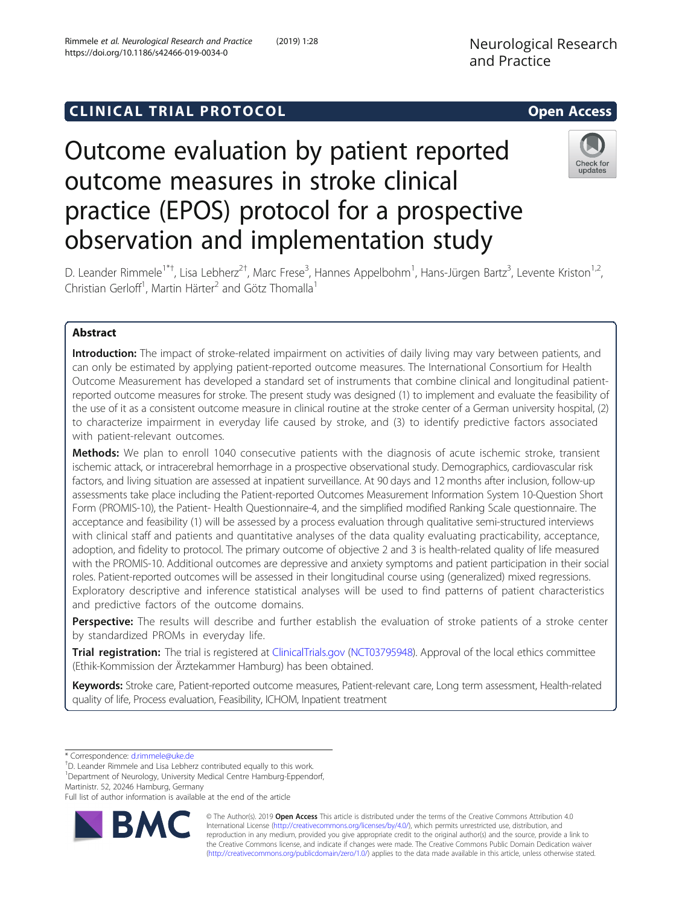https://doi.org/10.1186/s42466-019-0034-0

Rimmele et al. Neurological Research and Practice (2019) 1:28

# C LINICA L TRIA L P RO TOCO L Open Access

# Outcome evaluation by patient reported outcome measures in stroke clinical practice (EPOS) protocol for a prospective observation and implementation study



D. Leander Rimmele<sup>1\*†</sup>, Lisa Lebherz<sup>2†</sup>, Marc Frese<sup>3</sup>, Hannes Appelbohm<sup>1</sup>, Hans-Jürgen Bartz<sup>3</sup>, Levente Kriston<sup>1,2</sup>, Christian Gerloff<sup>1</sup>, Martin Härter<sup>2</sup> and Götz Thomalla<sup>1</sup>

## Abstract

Introduction: The impact of stroke-related impairment on activities of daily living may vary between patients, and can only be estimated by applying patient-reported outcome measures. The International Consortium for Health Outcome Measurement has developed a standard set of instruments that combine clinical and longitudinal patientreported outcome measures for stroke. The present study was designed (1) to implement and evaluate the feasibility of the use of it as a consistent outcome measure in clinical routine at the stroke center of a German university hospital, (2) to characterize impairment in everyday life caused by stroke, and (3) to identify predictive factors associated with patient-relevant outcomes.

**Methods:** We plan to enroll 1040 consecutive patients with the diagnosis of acute ischemic stroke, transient ischemic attack, or intracerebral hemorrhage in a prospective observational study. Demographics, cardiovascular risk factors, and living situation are assessed at inpatient surveillance. At 90 days and 12 months after inclusion, follow-up assessments take place including the Patient-reported Outcomes Measurement Information System 10-Question Short Form (PROMIS-10), the Patient- Health Questionnaire-4, and the simplified modified Ranking Scale questionnaire. The acceptance and feasibility (1) will be assessed by a process evaluation through qualitative semi-structured interviews with clinical staff and patients and quantitative analyses of the data quality evaluating practicability, acceptance, adoption, and fidelity to protocol. The primary outcome of objective 2 and 3 is health-related quality of life measured with the PROMIS-10. Additional outcomes are depressive and anxiety symptoms and patient participation in their social roles. Patient-reported outcomes will be assessed in their longitudinal course using (generalized) mixed regressions. Exploratory descriptive and inference statistical analyses will be used to find patterns of patient characteristics and predictive factors of the outcome domains.

Perspective: The results will describe and further establish the evaluation of stroke patients of a stroke center by standardized PROMs in everyday life.

Trial registration: The trial is registered at [ClinicalTrials.gov](http://clinicaltrials.gov) [\(NCT03795948](https://clinicaltrials.gov/ct2/show/NCT03795948)). Approval of the local ethics committee (Ethik-Kommission der Ärztekammer Hamburg) has been obtained.

Keywords: Stroke care, Patient-reported outcome measures, Patient-relevant care, Long term assessment, Health-related quality of life, Process evaluation, Feasibility, ICHOM, Inpatient treatment

\* Correspondence: [d.rimmele@uke.de](mailto:d.rimmele@uke.de) †

D. Leander Rimmele and Lisa Lebherz contributed equally to this work. <sup>1</sup>Department of Neurology, University Medical Centre Hamburg-Eppendorf,

Martinistr. 52, 20246 Hamburg, Germany

Full list of author information is available at the end of the article



© The Author(s). 2019 Open Access This article is distributed under the terms of the Creative Commons Attribution 4.0 International License [\(http://creativecommons.org/licenses/by/4.0/](http://creativecommons.org/licenses/by/4.0/)), which permits unrestricted use, distribution, and reproduction in any medium, provided you give appropriate credit to the original author(s) and the source, provide a link to the Creative Commons license, and indicate if changes were made. The Creative Commons Public Domain Dedication waiver [\(http://creativecommons.org/publicdomain/zero/1.0/](http://creativecommons.org/publicdomain/zero/1.0/)) applies to the data made available in this article, unless otherwise stated.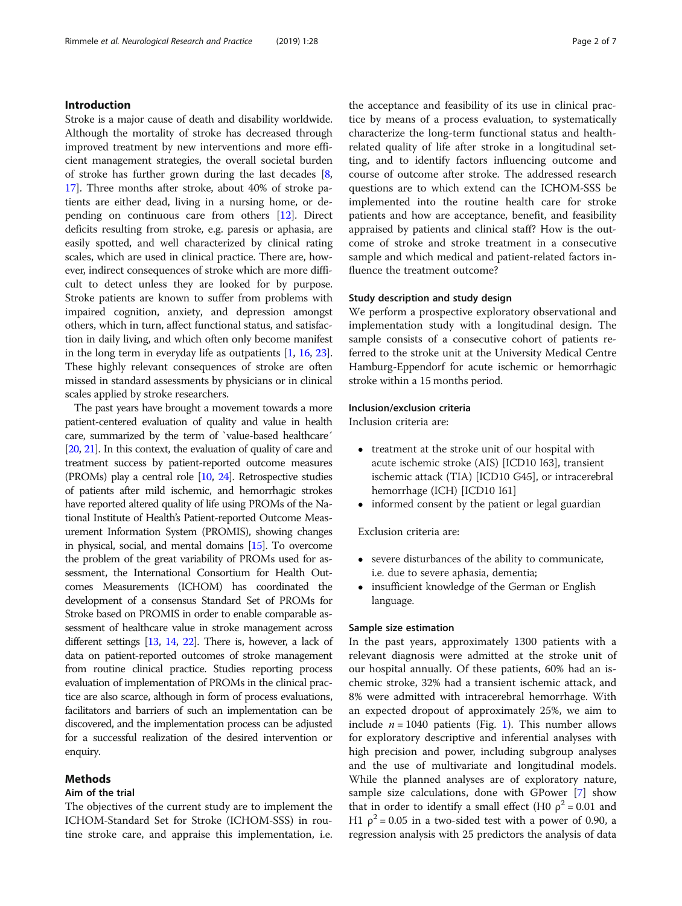#### Introduction

Stroke is a major cause of death and disability worldwide. Although the mortality of stroke has decreased through improved treatment by new interventions and more efficient management strategies, the overall societal burden of stroke has further grown during the last decades [[8](#page-5-0), [17](#page-6-0)]. Three months after stroke, about 40% of stroke patients are either dead, living in a nursing home, or depending on continuous care from others [[12](#page-5-0)]. Direct deficits resulting from stroke, e.g. paresis or aphasia, are easily spotted, and well characterized by clinical rating scales, which are used in clinical practice. There are, however, indirect consequences of stroke which are more difficult to detect unless they are looked for by purpose. Stroke patients are known to suffer from problems with impaired cognition, anxiety, and depression amongst others, which in turn, affect functional status, and satisfaction in daily living, and which often only become manifest in the long term in everyday life as outpatients [\[1,](#page-5-0) [16,](#page-6-0) [23](#page-6-0)]. These highly relevant consequences of stroke are often missed in standard assessments by physicians or in clinical scales applied by stroke researchers.

The past years have brought a movement towards a more patient-centered evaluation of quality and value in health care, summarized by the term of `value-based healthcare´ [[20,](#page-6-0) [21\]](#page-6-0). In this context, the evaluation of quality of care and treatment success by patient-reported outcome measures (PROMs) play a central role [[10,](#page-5-0) [24\]](#page-6-0). Retrospective studies of patients after mild ischemic, and hemorrhagic strokes have reported altered quality of life using PROMs of the National Institute of Health's Patient-reported Outcome Measurement Information System (PROMIS), showing changes in physical, social, and mental domains [[15\]](#page-6-0). To overcome the problem of the great variability of PROMs used for assessment, the International Consortium for Health Outcomes Measurements (ICHOM) has coordinated the development of a consensus Standard Set of PROMs for Stroke based on PROMIS in order to enable comparable assessment of healthcare value in stroke management across different settings [\[13,](#page-5-0) [14,](#page-5-0) [22](#page-6-0)]. There is, however, a lack of data on patient-reported outcomes of stroke management from routine clinical practice. Studies reporting process evaluation of implementation of PROMs in the clinical practice are also scarce, although in form of process evaluations, facilitators and barriers of such an implementation can be discovered, and the implementation process can be adjusted for a successful realization of the desired intervention or enquiry.

#### Methods

#### Aim of the trial

The objectives of the current study are to implement the ICHOM-Standard Set for Stroke (ICHOM-SSS) in routine stroke care, and appraise this implementation, i.e. the acceptance and feasibility of its use in clinical practice by means of a process evaluation, to systematically characterize the long-term functional status and healthrelated quality of life after stroke in a longitudinal setting, and to identify factors influencing outcome and course of outcome after stroke. The addressed research questions are to which extend can the ICHOM-SSS be implemented into the routine health care for stroke patients and how are acceptance, benefit, and feasibility appraised by patients and clinical staff? How is the outcome of stroke and stroke treatment in a consecutive sample and which medical and patient-related factors influence the treatment outcome?

#### Study description and study design

We perform a prospective exploratory observational and implementation study with a longitudinal design. The sample consists of a consecutive cohort of patients referred to the stroke unit at the University Medical Centre Hamburg-Eppendorf for acute ischemic or hemorrhagic stroke within a 15 months period.

#### Inclusion/exclusion criteria

Inclusion criteria are:

- treatment at the stroke unit of our hospital with acute ischemic stroke (AIS) [ICD10 I63], transient ischemic attack (TIA) [ICD10 G45], or intracerebral hemorrhage (ICH) [ICD10 I61]
- informed consent by the patient or legal guardian

Exclusion criteria are:

- severe disturbances of the ability to communicate, i.e. due to severe aphasia, dementia;
- insufficient knowledge of the German or English language.

#### Sample size estimation

In the past years, approximately 1300 patients with a relevant diagnosis were admitted at the stroke unit of our hospital annually. Of these patients, 60% had an ischemic stroke, 32% had a transient ischemic attack, and 8% were admitted with intracerebral hemorrhage. With an expected dropout of approximately 25%, we aim to include  $n = 1040$  $n = 1040$  $n = 1040$  patients (Fig. 1). This number allows for exploratory descriptive and inferential analyses with high precision and power, including subgroup analyses and the use of multivariate and longitudinal models. While the planned analyses are of exploratory nature, sample size calculations, done with GPower [\[7](#page-5-0)] show that in order to identify a small effect (H0  $\rho^2$  = 0.01 and H1  $\rho^2$  = 0.05 in a two-sided test with a power of 0.90, a regression analysis with 25 predictors the analysis of data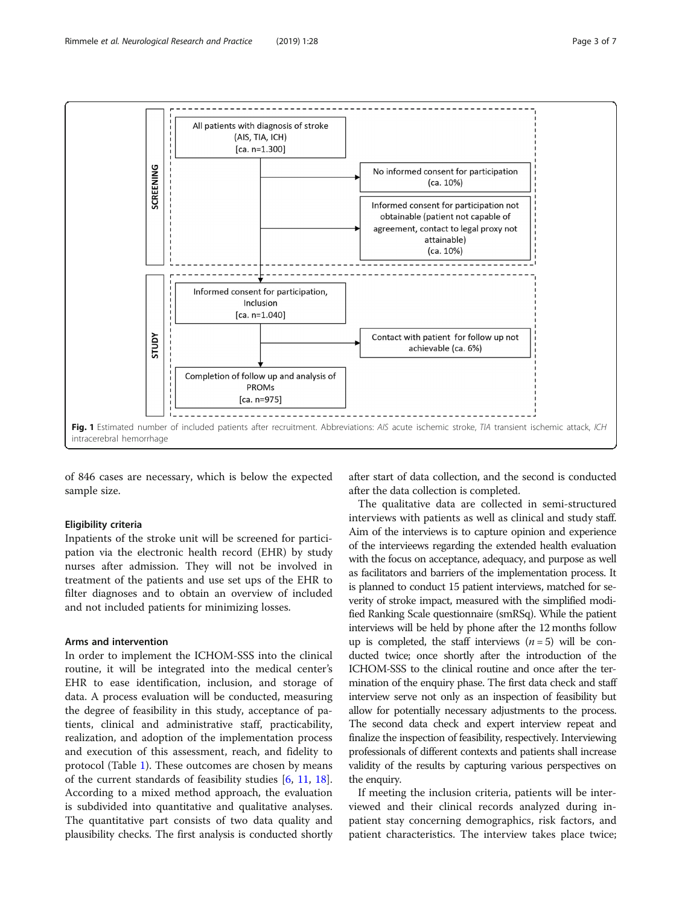<span id="page-2-0"></span>

of 846 cases are necessary, which is below the expected sample size.

#### Eligibility criteria

Inpatients of the stroke unit will be screened for participation via the electronic health record (EHR) by study nurses after admission. They will not be involved in treatment of the patients and use set ups of the EHR to filter diagnoses and to obtain an overview of included and not included patients for minimizing losses.

#### Arms and intervention

In order to implement the ICHOM-SSS into the clinical routine, it will be integrated into the medical center's EHR to ease identification, inclusion, and storage of data. A process evaluation will be conducted, measuring the degree of feasibility in this study, acceptance of patients, clinical and administrative staff, practicability, realization, and adoption of the implementation process and execution of this assessment, reach, and fidelity to protocol (Table [1](#page-3-0)). These outcomes are chosen by means of the current standards of feasibility studies [\[6](#page-5-0), [11,](#page-5-0) [18](#page-6-0)]. According to a mixed method approach, the evaluation is subdivided into quantitative and qualitative analyses. The quantitative part consists of two data quality and plausibility checks. The first analysis is conducted shortly

after start of data collection, and the second is conducted after the data collection is completed.

The qualitative data are collected in semi-structured interviews with patients as well as clinical and study staff. Aim of the interviews is to capture opinion and experience of the intervieews regarding the extended health evaluation with the focus on acceptance, adequacy, and purpose as well as facilitators and barriers of the implementation process. It is planned to conduct 15 patient interviews, matched for severity of stroke impact, measured with the simplified modified Ranking Scale questionnaire (smRSq). While the patient interviews will be held by phone after the 12 months follow up is completed, the staff interviews  $(n = 5)$  will be conducted twice; once shortly after the introduction of the ICHOM-SSS to the clinical routine and once after the termination of the enquiry phase. The first data check and staff interview serve not only as an inspection of feasibility but allow for potentially necessary adjustments to the process. The second data check and expert interview repeat and finalize the inspection of feasibility, respectively. Interviewing professionals of different contexts and patients shall increase validity of the results by capturing various perspectives on the enquiry.

If meeting the inclusion criteria, patients will be interviewed and their clinical records analyzed during inpatient stay concerning demographics, risk factors, and patient characteristics. The interview takes place twice;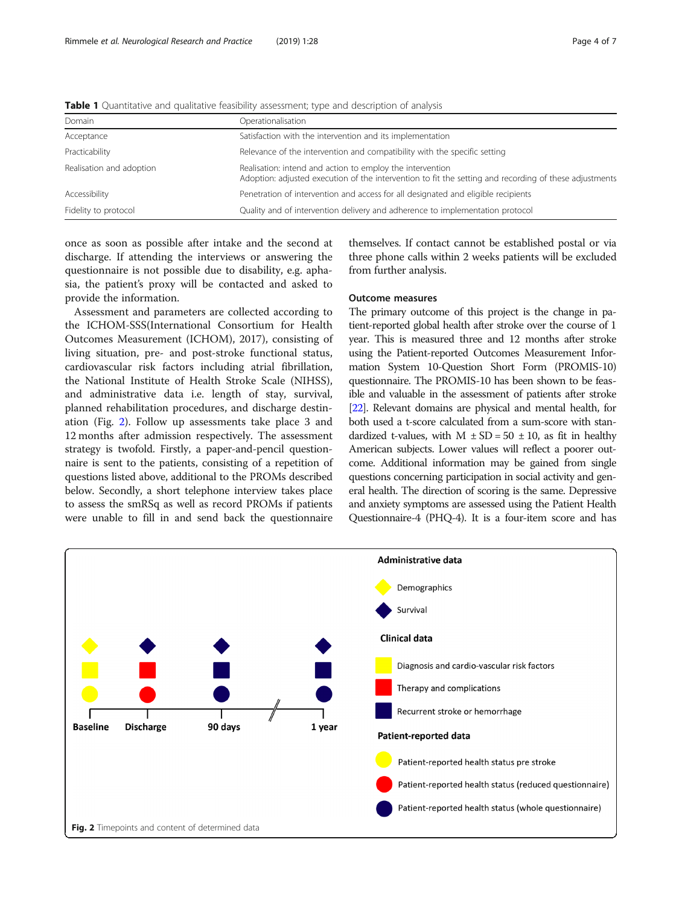| Domain                   | Operationalisation                                                                                                                                                  |
|--------------------------|---------------------------------------------------------------------------------------------------------------------------------------------------------------------|
| Acceptance               | Satisfaction with the intervention and its implementation                                                                                                           |
| Practicability           | Relevance of the intervention and compatibility with the specific setting                                                                                           |
| Realisation and adoption | Realisation: intend and action to employ the intervention<br>Adoption: adjusted execution of the intervention to fit the setting and recording of these adjustments |
| Accessibility            | Penetration of intervention and access for all designated and eligible recipients                                                                                   |
| Fidelity to protocol     | Quality and of intervention delivery and adherence to implementation protocol                                                                                       |

<span id="page-3-0"></span>**Table 1** Quantitative and qualitative feasibility assessment; type and description of analysis

once as soon as possible after intake and the second at discharge. If attending the interviews or answering the questionnaire is not possible due to disability, e.g. aphasia, the patient's proxy will be contacted and asked to provide the information.

Assessment and parameters are collected according to the ICHOM-SSS(International Consortium for Health Outcomes Measurement (ICHOM), 2017), consisting of living situation, pre- and post-stroke functional status, cardiovascular risk factors including atrial fibrillation, the National Institute of Health Stroke Scale (NIHSS), and administrative data i.e. length of stay, survival, planned rehabilitation procedures, and discharge destination (Fig. 2). Follow up assessments take place 3 and 12 months after admission respectively. The assessment strategy is twofold. Firstly, a paper-and-pencil questionnaire is sent to the patients, consisting of a repetition of questions listed above, additional to the PROMs described below. Secondly, a short telephone interview takes place to assess the smRSq as well as record PROMs if patients were unable to fill in and send back the questionnaire

themselves. If contact cannot be established postal or via three phone calls within 2 weeks patients will be excluded from further analysis.

#### Outcome measures

The primary outcome of this project is the change in patient-reported global health after stroke over the course of 1 year. This is measured three and 12 months after stroke using the Patient-reported Outcomes Measurement Information System 10-Question Short Form (PROMIS-10) questionnaire. The PROMIS-10 has been shown to be feasible and valuable in the assessment of patients after stroke [[22\]](#page-6-0). Relevant domains are physical and mental health, for both used a t-score calculated from a sum-score with standardized t-values, with  $M \pm SD = 50 \pm 10$ , as fit in healthy American subjects. Lower values will reflect a poorer outcome. Additional information may be gained from single questions concerning participation in social activity and general health. The direction of scoring is the same. Depressive and anxiety symptoms are assessed using the Patient Health Questionnaire-4 (PHQ-4). It is a four-item score and has

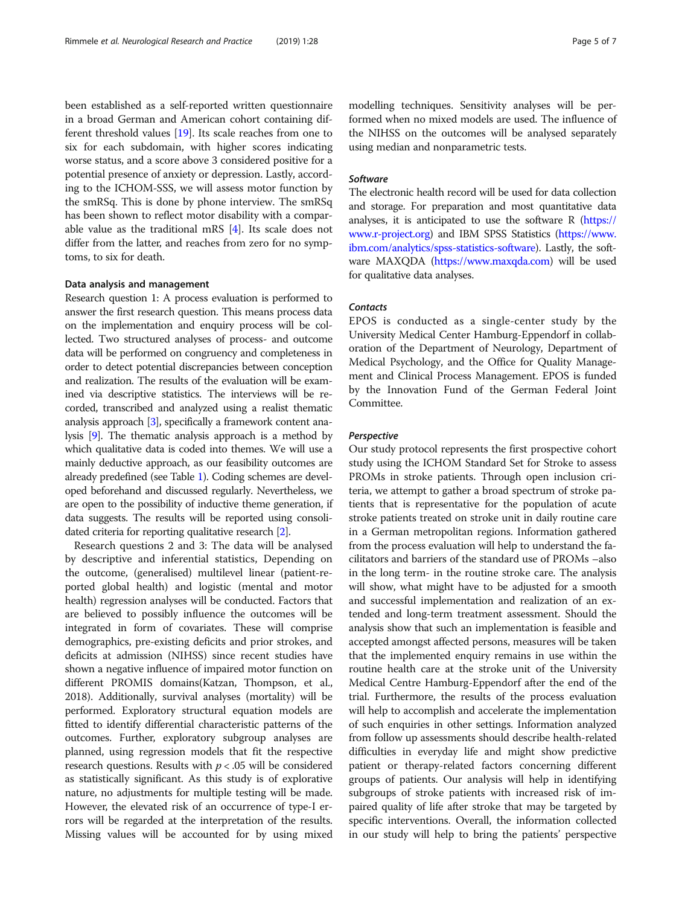been established as a self-reported written questionnaire in a broad German and American cohort containing different threshold values [\[19\]](#page-6-0). Its scale reaches from one to six for each subdomain, with higher scores indicating worse status, and a score above 3 considered positive for a potential presence of anxiety or depression. Lastly, according to the ICHOM-SSS, we will assess motor function by the smRSq. This is done by phone interview. The smRSq has been shown to reflect motor disability with a comparable value as the traditional mRS [[4\]](#page-5-0). Its scale does not differ from the latter, and reaches from zero for no symptoms, to six for death.

#### Data analysis and management

Research question 1: A process evaluation is performed to answer the first research question. This means process data on the implementation and enquiry process will be collected. Two structured analyses of process- and outcome data will be performed on congruency and completeness in order to detect potential discrepancies between conception and realization. The results of the evaluation will be examined via descriptive statistics. The interviews will be recorded, transcribed and analyzed using a realist thematic analysis approach [\[3](#page-5-0)], specifically a framework content analysis [\[9\]](#page-5-0). The thematic analysis approach is a method by which qualitative data is coded into themes. We will use a mainly deductive approach, as our feasibility outcomes are already predefined (see Table [1](#page-3-0)). Coding schemes are developed beforehand and discussed regularly. Nevertheless, we are open to the possibility of inductive theme generation, if data suggests. The results will be reported using consolidated criteria for reporting qualitative research [\[2](#page-5-0)].

Research questions 2 and 3: The data will be analysed by descriptive and inferential statistics, Depending on the outcome, (generalised) multilevel linear (patient-reported global health) and logistic (mental and motor health) regression analyses will be conducted. Factors that are believed to possibly influence the outcomes will be integrated in form of covariates. These will comprise demographics, pre-existing deficits and prior strokes, and deficits at admission (NIHSS) since recent studies have shown a negative influence of impaired motor function on different PROMIS domains(Katzan, Thompson, et al., 2018). Additionally, survival analyses (mortality) will be performed. Exploratory structural equation models are fitted to identify differential characteristic patterns of the outcomes. Further, exploratory subgroup analyses are planned, using regression models that fit the respective research questions. Results with  $p < .05$  will be considered as statistically significant. As this study is of explorative nature, no adjustments for multiple testing will be made. However, the elevated risk of an occurrence of type-I errors will be regarded at the interpretation of the results. Missing values will be accounted for by using mixed modelling techniques. Sensitivity analyses will be performed when no mixed models are used. The influence of the NIHSS on the outcomes will be analysed separately using median and nonparametric tests.

#### Software

The electronic health record will be used for data collection and storage. For preparation and most quantitative data analyses, it is anticipated to use the software  $R$  ([https://](https://www.r-project.org) [www.r-project.org](https://www.r-project.org)) and IBM SPSS Statistics [\(https://www.](https://www.ibm.com/analytics/spss-statistics-software) [ibm.com/analytics/spss-statistics-software\)](https://www.ibm.com/analytics/spss-statistics-software). Lastly, the software MAXQDA [\(https://www.maxqda.com](https://www.maxqda.com)) will be used for qualitative data analyses.

#### **Contacts**

EPOS is conducted as a single-center study by the University Medical Center Hamburg-Eppendorf in collaboration of the Department of Neurology, Department of Medical Psychology, and the Office for Quality Management and Clinical Process Management. EPOS is funded by the Innovation Fund of the German Federal Joint Committee.

#### Perspective

Our study protocol represents the first prospective cohort study using the ICHOM Standard Set for Stroke to assess PROMs in stroke patients. Through open inclusion criteria, we attempt to gather a broad spectrum of stroke patients that is representative for the population of acute stroke patients treated on stroke unit in daily routine care in a German metropolitan regions. Information gathered from the process evaluation will help to understand the facilitators and barriers of the standard use of PROMs –also in the long term- in the routine stroke care. The analysis will show, what might have to be adjusted for a smooth and successful implementation and realization of an extended and long-term treatment assessment. Should the analysis show that such an implementation is feasible and accepted amongst affected persons, measures will be taken that the implemented enquiry remains in use within the routine health care at the stroke unit of the University Medical Centre Hamburg-Eppendorf after the end of the trial. Furthermore, the results of the process evaluation will help to accomplish and accelerate the implementation of such enquiries in other settings. Information analyzed from follow up assessments should describe health-related difficulties in everyday life and might show predictive patient or therapy-related factors concerning different groups of patients. Our analysis will help in identifying subgroups of stroke patients with increased risk of impaired quality of life after stroke that may be targeted by specific interventions. Overall, the information collected in our study will help to bring the patients' perspective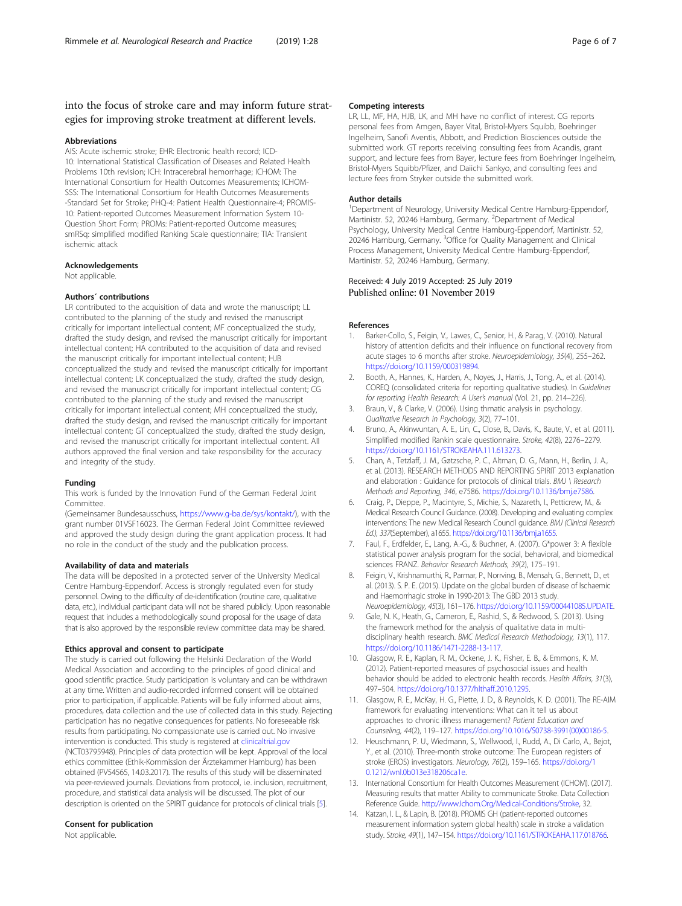## <span id="page-5-0"></span>into the focus of stroke care and may inform future strategies for improving stroke treatment at different levels.

#### Abbreviations

AIS: Acute ischemic stroke; EHR: Electronic health record; ICD-10: International Statistical Classification of Diseases and Related Health Problems 10th revision; ICH: Intracerebral hemorrhage; ICHOM: The International Consortium for Health Outcomes Measurements; ICHOM-SSS: The International Consortium for Health Outcomes Measurements -Standard Set for Stroke; PHQ-4: Patient Health Questionnaire-4; PROMIS-10: Patient-reported Outcomes Measurement Information System 10- Question Short Form; PROMs: Patient-reported Outcome measures; smRSq: simplified modified Ranking Scale questionnaire; TIA: Transient ischemic attack

#### Acknowledgements

Not applicable.

#### Authors´ contributions

LR contributed to the acquisition of data and wrote the manuscript; LL contributed to the planning of the study and revised the manuscript critically for important intellectual content; MF conceptualized the study, drafted the study design, and revised the manuscript critically for important intellectual content; HA contributed to the acquisition of data and revised the manuscript critically for important intellectual content; HJB conceptualized the study and revised the manuscript critically for important intellectual content; LK conceptualized the study, drafted the study design, and revised the manuscript critically for important intellectual content; CG contributed to the planning of the study and revised the manuscript critically for important intellectual content; MH conceptualized the study, drafted the study design, and revised the manuscript critically for important intellectual content; GT conceptualized the study, drafted the study design, and revised the manuscript critically for important intellectual content. All authors approved the final version and take responsibility for the accuracy and integrity of the study.

#### Funding

This work is funded by the Innovation Fund of the German Federal Joint Committee.

(Gemeinsamer Bundesausschuss, [https://www.g-ba.de/sys/kontakt/\)](https://www.g-ba.de/sys/kontakt/), with the grant number 01VSF16023. The German Federal Joint Committee reviewed and approved the study design during the grant application process. It had no role in the conduct of the study and the publication process.

#### Availability of data and materials

The data will be deposited in a protected server of the University Medical Centre Hamburg-Eppendorf. Access is strongly regulated even for study personnel. Owing to the difficulty of de-identification (routine care, qualitative data, etc.), individual participant data will not be shared publicly. Upon reasonable request that includes a methodologically sound proposal for the usage of data that is also approved by the responsible review committee data may be shared.

#### Ethics approval and consent to participate

The study is carried out following the Helsinki Declaration of the World Medical Association and according to the principles of good clinical and good scientific practice. Study participation is voluntary and can be withdrawn at any time. Written and audio-recorded informed consent will be obtained prior to participation, if applicable. Patients will be fully informed about aims, procedures, data collection and the use of collected data in this study. Rejecting participation has no negative consequences for patients. No foreseeable risk results from participating. No compassionate use is carried out. No invasive intervention is conducted. This study is registered at [clinicaltrial.gov](http://clinicaltrial.gov) (NCT03795948). Principles of data protection will be kept. Approval of the local ethics committee (Ethik-Kommission der Ärztekammer Hamburg) has been obtained (PV54565, 14.03.2017). The results of this study will be disseminated via peer-reviewed journals. Deviations from protocol, i.e. inclusion, recruitment, procedure, and statistical data analysis will be discussed. The plot of our description is oriented on the SPIRIT guidance for protocols of clinical trials [5].

#### Consent for publication

Not applicable.

#### Competing interests

LR, LL, MF, HA, HJB, LK, and MH have no conflict of interest. CG reports personal fees from Amgen, Bayer Vital, Bristol-Myers Squibb, Boehringer Ingelheim, Sanofi Aventis, Abbott, and Prediction Biosciences outside the submitted work. GT reports receiving consulting fees from Acandis, grant support, and lecture fees from Bayer, lecture fees from Boehringer Ingelheim, Bristol-Myers Squibb/Pfizer, and Daiichi Sankyo, and consulting fees and lecture fees from Stryker outside the submitted work.

#### Author details

<sup>1</sup>Department of Neurology, University Medical Centre Hamburg-Eppendorf, Martinistr. 52, 20246 Hamburg, Germany. <sup>2</sup>Department of Medical Psychology, University Medical Centre Hamburg-Eppendorf, Martinistr. 52, 20246 Hamburg, Germany. <sup>3</sup>Office for Quality Management and Clinical Process Management, University Medical Centre Hamburg-Eppendorf, Martinistr. 52, 20246 Hamburg, Germany.

#### Received: 4 July 2019 Accepted: 25 July 2019 Published online: 01 November 2019

#### References

- Barker-Collo, S., Feigin, V., Lawes, C., Senior, H., & Parag, V. (2010). Natural history of attention deficits and their influence on functional recovery from acute stages to 6 months after stroke. Neuroepidemiology, 35(4), 255–262. [https://doi.org/10.1159/000319894.](https://doi.org/10.1159/000319894)
- 2. Booth, A., Hannes, K., Harden, A., Noyes, J., Harris, J., Tong, A., et al. (2014). COREQ (consolidated criteria for reporting qualitative studies). In Guidelines for reporting Health Research: A User's manual (Vol. 21, pp. 214–226).
- 3. Braun, V., & Clarke, V. (2006). Using thmatic analysis in psychology. Qualitative Research in Psychology, 3(2), 77–101.
- 4. Bruno, A., Akinwuntan, A. E., Lin, C., Close, B., Davis, K., Baute, V., et al. (2011). Simplified modified Rankin scale questionnaire. Stroke, 42(8), 2276–2279. <https://doi.org/10.1161/STROKEAHA.111.613273>.
- 5. Chan, A., Tetzlaff, J. M., Gøtzsche, P. C., Altman, D. G., Mann, H., Berlin, J. A., et al. (2013). RESEARCH METHODS AND REPORTING SPIRIT 2013 explanation and elaboration : Guidance for protocols of clinical trials. BMJ \ Research Methods and Reporting, 346, e7586. <https://doi.org/10.1136/bmj.e7586>.
- 6. Craig, P., Dieppe, P., Macintyre, S., Michie, S., Nazareth, I., Petticrew, M., & Medical Research Council Guidance. (2008). Developing and evaluating complex interventions: The new Medical Research Council quidance. BMJ (Clinical Research Ed.), 337(September), a1655. [https://doi.org/10.1136/bmj.a1655.](https://doi.org/10.1136/bmj.a1655)
- 7. Faul, F., Erdfelder, E., Lang, A.-G., & Buchner, A. (2007). G\*power 3: A flexible statistical power analysis program for the social, behavioral, and biomedical sciences FRANZ. Behavior Research Methods, 39(2), 175–191.
- 8. Feigin, V., Krishnamurthi, R., Parmar, P., Norrving, B., Mensah, G., Bennett, D., et al. (2013). S. P. E. (2015). Update on the global burden of disease of Ischaemic and Haemorrhagic stroke in 1990-2013: The GBD 2013 study. Neuroepidemiology, 45(3), 161–176. [https://doi.org/10.1159/000441085.UPDATE.](https://doi.org/10.1159/000441085.UPDATE)
- 9. Gale, N. K., Heath, G., Cameron, E., Rashid, S., & Redwood, S. (2013). Using the framework method for the analysis of qualitative data in multidisciplinary health research. BMC Medical Research Methodology, 13(1), 117. [https://doi.org/10.1186/1471-2288-13-117.](https://doi.org/10.1186/1471-2288-13-117)
- 10. Glasgow, R. E., Kaplan, R. M., Ockene, J. K., Fisher, E. B., & Emmons, K. M. (2012). Patient-reported measures of psychosocial issues and health behavior should be added to electronic health records. Health Affairs, 31(3), 497–504. <https://doi.org/10.1377/hlthaff.2010.1295>.
- 11. Glasgow, R. E., McKay, H. G., Piette, J. D., & Reynolds, K. D. (2001). The RE-AIM framework for evaluating interventions: What can it tell us about approaches to chronic illness management? Patient Education and Counseling, 44(2), 119–127. [https://doi.org/10.1016/S0738-3991\(00\)00186-5](https://doi.org/10.1016/S0738-3991(00)00186-5).
- 12. Heuschmann, P. U., Wiedmann, S., Wellwood, I., Rudd, A., Di Carlo, A., Bejot, Y., et al. (2010). Three-month stroke outcome: The European registers of stroke (EROS) investigators. Neurology, 76(2), 159–165. [https://doi.org/1](https://doi.org/10.1212/wnl.0b013e318206ca1e) [0.1212/wnl.0b013e318206ca1e.](https://doi.org/10.1212/wnl.0b013e318206ca1e)
- 13. International Consortium for Health Outcomes Measurement (ICHOM). (2017). Measuring results that matter Ability to communicate Stroke. Data Collection Reference Guide. [http://www.Ichom.Org/Medical-Conditions/Stroke,](http://www.ichom.org/Medical-Conditions/Stroke) 32.
- 14. Katzan, I. L., & Lapin, B. (2018). PROMIS GH (patient-reported outcomes measurement information system global health) scale in stroke a validation study. Stroke, 49(1), 147–154. <https://doi.org/10.1161/STROKEAHA.117.018766>.